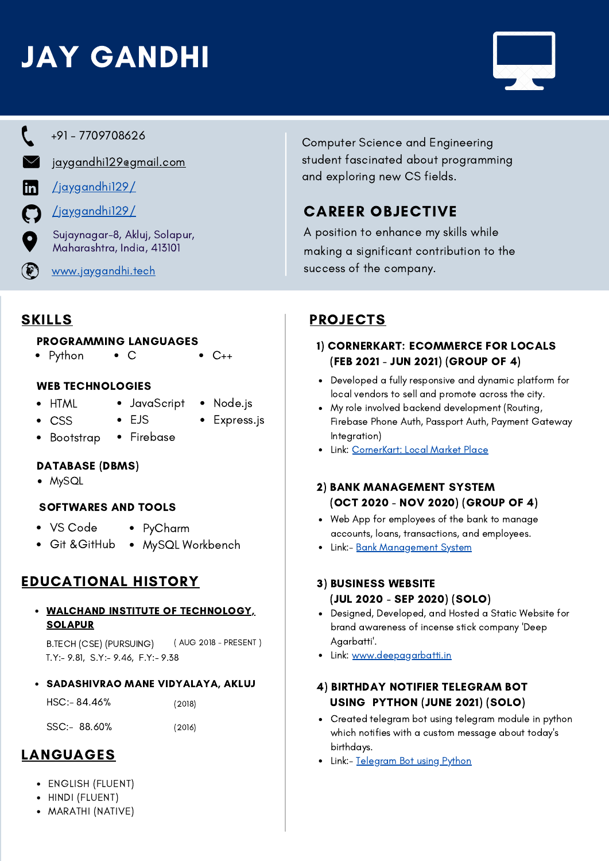# JAY GANDHI





+91 - 7709708626

[jaygandhi129@gmail.com](mailto:jaygandhi129@gmail.com)

m

 $\left( \bigoplus\limits_{i=1}^n \mathbb{Z}_p \right)$ 

- [/jaygandhi129/](https://www.linkedin.com/in/jaygandhi129/)  $\boldsymbol{\mathsf{C}}$ 
	- [/jaygandhi129/](https://github.com/jaygandhi129)

Sujaynagar-8, Akluj, Solapur, Maharashtra, India, 413101

[www.jaygandhi.tech](https://jaygandhi.tech/)

Computer Science and Engineering student fascinated about programming and exploring new CS fields.

# CAREER OBJECTIVE

A position to enhance my skills while making a significant contribution to the success of the company.

# **SKILLS**

## PROGRAMMING LANGUAGES

• Python  $\bullet$  C  $\bullet$  C++

# WEB TECHNOLOGIES

HTML CSS

 $\bullet$ 

- JavaScript EJS
	- Node.js • Express.js
- Firebase Bootstrap

## DATABASE (DBMS)

MySQL

## SOFTWARES AND TOOLS

- VS Code
- PyCharm
- Git &GitHub MySQL Workbench

# EDUCATIONAL HISTORY

#### WALCHAND INSTITUTE OF [TECHNOLOGY,](https://www.witsolapur.org/) SOLAPUR

B.TECH (CSE) (PURSUING) ( AUG 2018 - PRESENT ) T.Y:- 9.81, S.Y:- 9.46, F.Y:- 9.38

#### SADASHIVRAO MANE VIDYALAYA, AKLUJ

| $HSC: - 84.46%$ | (2018) |
|-----------------|--------|
| SSC:- 88.60%    | (2016) |

# LANGUAGES

- ENGLISH (FLUENT)
- HINDI (FLUENT)
- MARATHI (NATIVE)

# PROJECTS

## 1) CORNERKART: ECOMMERCE FOR LOCALS (FEB 2021 - JUN 2021) (GROUP OF 4)

- Developed a fully responsive and dynamic platform for local vendors to sell and promote across the city.
- My role involved backend development (Routing, Firebase Phone Auth, Passport Auth, Payment Gateway Integration)
- Link: [CornerKart:](https://github.com/jaygandhi129/miniProject) Local Market Place

#### 2) BANK MANAGEMENT SYSTEM (OCT 2020 - NOV 2020) (GROUP OF 4)

- Web App for employees of the bank to manage accounts, loans, transactions, and employees.
- Link:- Bank [Management](https://github.com/jaygandhi129/bank-management) System

## 3) BUSINESS WEBSITE (JUL 2020 - SEP 2020) (SOLO)

- Designed, Developed, and Hosted a Static Website for brand awareness of incense stick company 'Deep Agarbatti'.
- Link: [www.deepagarbatti.in](https://deepagarbatti.in/)

## 4) BIRTHDAY NOTIFIER TELEGRAM BOT USING PYTHON (JUNE 2021) (SOLO)

- Created telegram bot using telegram module in python which notifies with a custom message about today's birthdays.
- Link:- [Telegram](https://github.com/jaygandhi129/PythonTelegramBot) Bot using Python